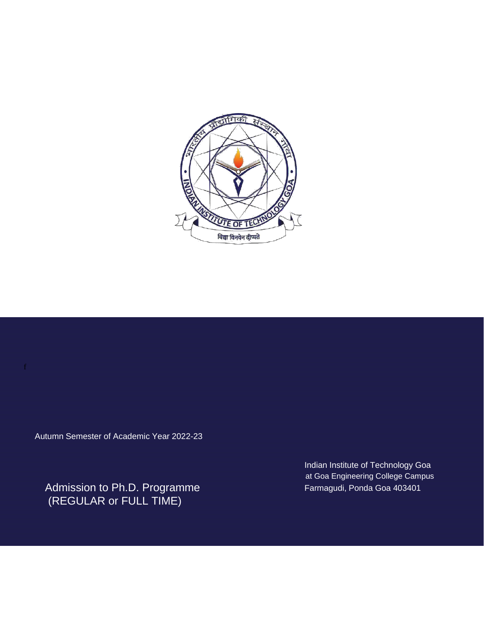

Autumn Semester of Academic Year 2022-23

Admission to Ph.D. Programme (REGULAR or FULL TIME)

Indian Institute of Technology Goa at Goa Engineering College Campus Farmagudi, Ponda Goa 403401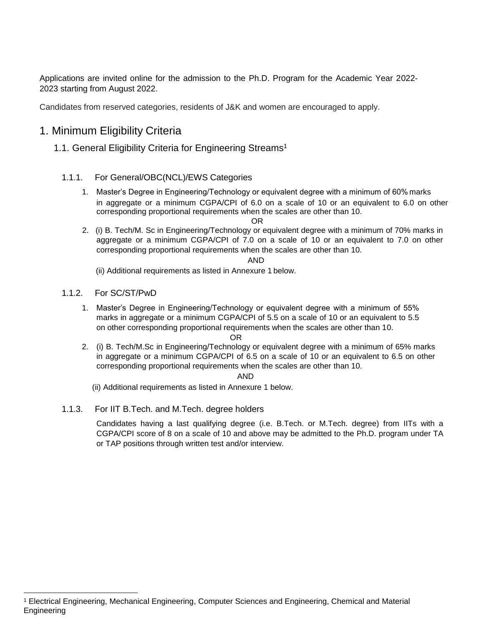Applications are invited online for the admission to the Ph.D. Program for the Academic Year 2022- 2023 starting from August 2022.

Candidates from reserved categories, residents of J&K and women are encouraged to apply.

# 1. Minimum Eligibility Criteria

### 1.1. General Eligibility Criteria for Engineering Streams<sup>1</sup>

#### 1.1.1. For General/OBC(NCL)/EWS Categories

1. Master's Degree in Engineering/Technology or equivalent degree with a minimum of 60% marks in aggregate or a minimum CGPA/CPI of 6.0 on a scale of 10 or an equivalent to 6.0 on other corresponding proportional requirements when the scales are other than 10.

2. (i) B. Tech/M. Sc in Engineering/Technology or equivalent degree with a minimum of 70% marks in aggregate or a minimum CGPA/CPI of 7.0 on a scale of 10 or an equivalent to 7.0 on other corresponding proportional requirements when the scales are other than 10.

AND

OR

(ii) Additional requirements as listed in Annexure 1 below.

1.1.2. For SC/ST/PwD

1. Master's Degree in Engineering/Technology or equivalent degree with a minimum of 55% marks in aggregate or a minimum CGPA/CPI of 5.5 on a scale of 10 or an equivalent to 5.5 on other corresponding proportional requirements when the scales are other than 10.

#### OR

2. (i) B. Tech/M.Sc in Engineering/Technology or equivalent degree with a minimum of 65% marks in aggregate or a minimum CGPA/CPI of 6.5 on a scale of 10 or an equivalent to 6.5 on other corresponding proportional requirements when the scales are other than 10.

#### AND

(ii) Additional requirements as listed in Annexure 1 below.

1.1.3. For IIT B.Tech. and M.Tech. degree holders

Candidates having a last qualifying degree (i.e. B.Tech. or M.Tech. degree) from IITs with a CGPA/CPI score of 8 on a scale of 10 and above may be admitted to the Ph.D. program under TA or TAP positions through written test and/or interview.

<sup>1</sup> Electrical Engineering, Mechanical Engineering, Computer Sciences and Engineering, Chemical and Material Engineering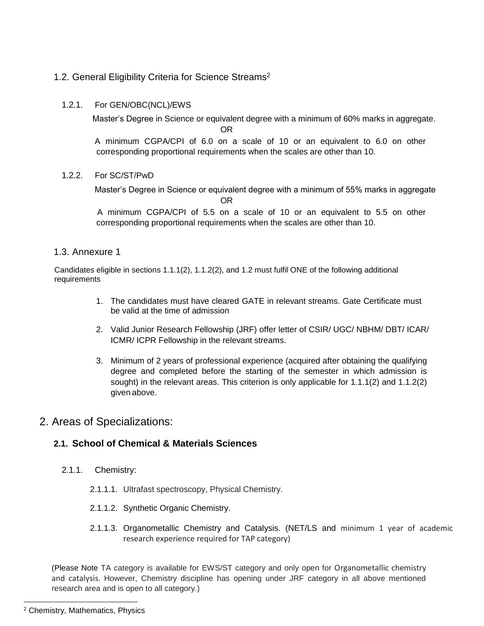## 1.2. General Eligibility Criteria for Science Streams<sup>2</sup>

#### 1.2.1. For GEN/OBC(NCL)/EWS

Master's Degree in Science or equivalent degree with a minimum of 60% marks in aggregate.

OR

 A minimum CGPA/CPI of 6.0 on a scale of 10 or an equivalent to 6.0 on other corresponding proportional requirements when the scales are other than 10.

#### 1.2.2. For SC/ST/PwD

 Master's Degree in Science or equivalent degree with a minimum of 55% marks in aggregate OR

 A minimum CGPA/CPI of 5.5 on a scale of 10 or an equivalent to 5.5 on other corresponding proportional requirements when the scales are other than 10.

### 1.3. Annexure 1

 Candidates eligible in sections 1.1.1(2), 1.1.2(2), and 1.2 must fulfil ONE of the following additional requirements

- 1. The candidates must have cleared GATE in relevant streams. Gate Certificate must be valid at the time of admission
- 2. Valid Junior Research Fellowship (JRF) offer letter of CSIR/ UGC/ NBHM/ DBT/ ICAR/ ICMR/ ICPR Fellowship in the relevant streams.
- 3. Minimum of 2 years of professional experience (acquired after obtaining the qualifying degree and completed before the starting of the semester in which admission is sought) in the relevant areas. This criterion is only applicable for 1.1.1(2) and 1.1.2(2) given above.

# 2. Areas of Specializations:

## **2.1. School of Chemical & Materials Sciences**

- 2.1.1. Chemistry:
	- 2.1.1.1. Ultrafast spectroscopy, Physical Chemistry.
	- 2.1.1.2. Synthetic Organic Chemistry.
	- 2.1.1.3. Organometallic Chemistry and Catalysis. (NET/LS and minimum 1 year of academic research experience required for TAP category)

(Please Note TA category is available for EWS/ST category and only open for Organometallic chemistry and catalysis. However, Chemistry discipline has opening under JRF category in all above mentioned research area and is open to all category.)

 $\overline{a}$ 

<sup>2</sup> Chemistry, Mathematics, Physics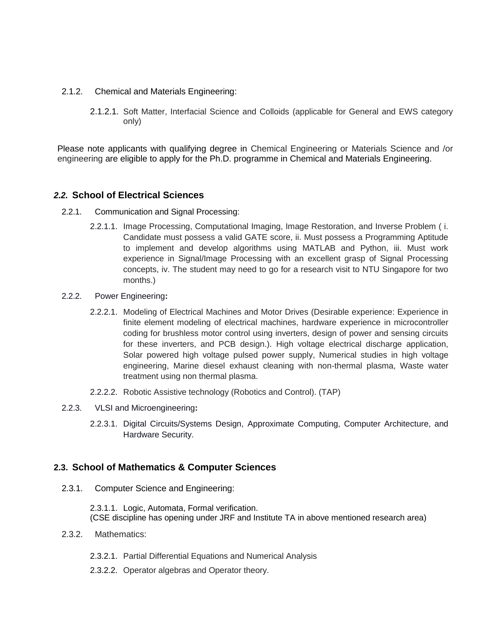- 2.1.2. Chemical and Materials Engineering:
	- 2.1.2.1. Soft Matter, Interfacial Science and Colloids (applicable for General and EWS category only)

Please note applicants with qualifying degree in Chemical Engineering or Materials Science and /or engineering are eligible to apply for the Ph.D. programme in Chemical and Materials Engineering.

### *2.2.* **School of Electrical Sciences**

- 2.2.1. Communication and Signal Processing:
	- 2.2.1.1. Image Processing, Computational Imaging, Image Restoration, and Inverse Problem ( i. Candidate must possess a valid GATE score, ii. Must possess a Programming Aptitude to implement and develop algorithms using MATLAB and Python, iii. Must work experience in Signal/Image Processing with an excellent grasp of Signal Processing concepts, iv. The student may need to go for a research visit to NTU Singapore for two months.)
- 2.2.2. Power Engineering**:**
	- 2.2.2.1. Modeling of Electrical Machines and Motor Drives (Desirable experience: Experience in finite element modeling of electrical machines, hardware experience in microcontroller coding for brushless motor control using inverters, design of power and sensing circuits for these inverters, and PCB design.). High voltage electrical discharge application, Solar powered high voltage pulsed power supply, Numerical studies in high voltage engineering, Marine diesel exhaust cleaning with non-thermal plasma, Waste water treatment using non thermal plasma.
	- 2.2.2.2. Robotic Assistive technology (Robotics and Control). (TAP)
- 2.2.3. VLSI and Microengineering**:**
	- 2.2.3.1. Digital Circuits/Systems Design, Approximate Computing, Computer Architecture, and Hardware Security.

### **2.3. School of Mathematics & Computer Sciences**

2.3.1. Computer Science and Engineering:

2.3.1.1. Logic, Automata, Formal verification. (CSE discipline has opening under JRF and Institute TA in above mentioned research area)

- 2.3.2. Mathematics:
	- 2.3.2.1. Partial Differential Equations and Numerical Analysis
	- 2.3.2.2. Operator algebras and Operator theory.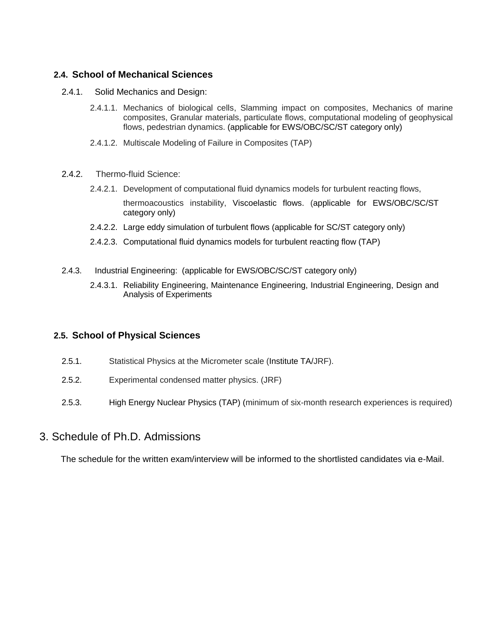## **2.4. School of Mechanical Sciences**

- 2.4.1. Solid Mechanics and Design:
	- 2.4.1.1. Mechanics of biological cells, Slamming impact on composites, Mechanics of marine composites, Granular materials, particulate flows, computational modeling of geophysical flows, pedestrian dynamics. (applicable for EWS/OBC/SC/ST category only)
	- 2.4.1.2. Multiscale Modeling of Failure in Composites (TAP)
- 2.4.2. Thermo-fluid Science:
	- 2.4.2.1. Development of computational fluid dynamics models for turbulent reacting flows, thermoacoustics instability, Viscoelastic flows. (applicable for EWS/OBC/SC/ST category only)
	- 2.4.2.2. Large eddy simulation of turbulent flows (applicable for SC/ST category only)
	- 2.4.2.3. Computational fluid dynamics models for turbulent reacting flow (TAP)
- 2.4.3. Industrial Engineering: (applicable for EWS/OBC/SC/ST category only)
	- 2.4.3.1. Reliability Engineering, Maintenance Engineering, Industrial Engineering, Design and Analysis of Experiments

### **2.5. School of Physical Sciences**

- 2.5.1. Statistical Physics at the Micrometer scale (Institute TA/JRF).
- 2.5.2. Experimental condensed matter physics. (JRF)
- 2.5.3. High Energy Nuclear Physics (TAP) (minimum of six-month research experiences is required)

## 3. Schedule of Ph.D. Admissions

The schedule for the written exam/interview will be informed to the shortlisted candidates via e-Mail.